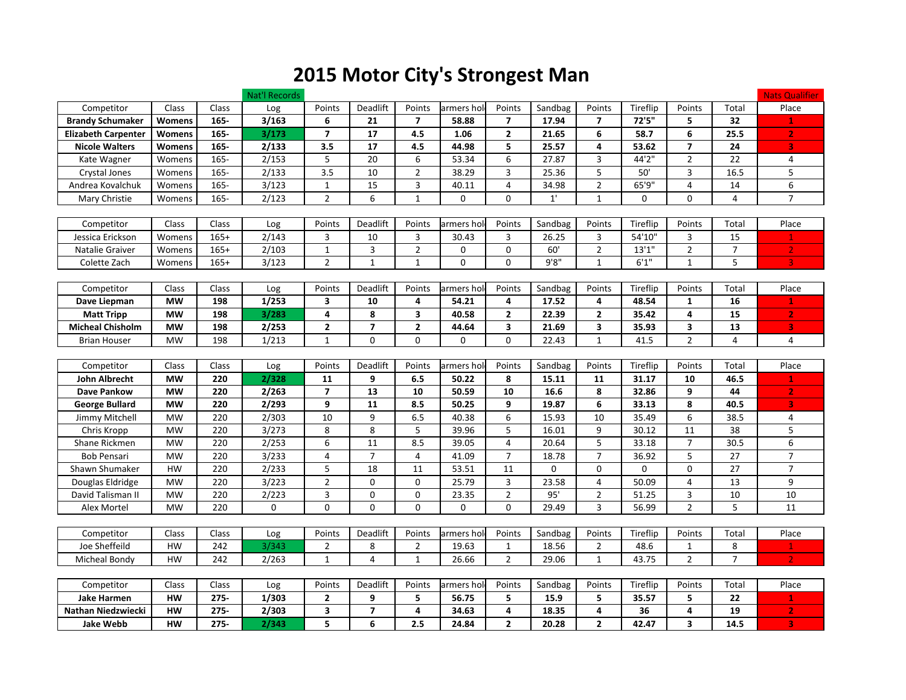## 2015 Motor City's Strongest Man

|                            |               |         | Nat'l Records |                         |                         |                |             |                         |         |                |             |                          |                | <b>Nats Qualifier</b>   |
|----------------------------|---------------|---------|---------------|-------------------------|-------------------------|----------------|-------------|-------------------------|---------|----------------|-------------|--------------------------|----------------|-------------------------|
| Competitor                 | Class         | Class   | Log           | Points                  | Deadlift                | Points         | armers hol  | Points                  | Sandbag | Points         | Tireflip    | Points                   | Total          | Place                   |
| <b>Brandy Schumaker</b>    | Womens        | 165-    | 3/163         | 6                       | 21                      | $\overline{7}$ | 58.88       | $\overline{7}$          | 17.94   | $\overline{7}$ | 72'5"       | 5                        | 32             | $\mathbf{1}$            |
| <b>Elizabeth Carpenter</b> | <b>Womens</b> | 165-    | 3/173         | $\overline{\mathbf{z}}$ | 17                      | 4.5            | 1.06        | $\mathbf{2}$            | 21.65   | 6              | 58.7        | 6                        | 25.5           | $\mathbf{2}$            |
| <b>Nicole Walters</b>      | Womens        | 165-    | 2/133         | 3.5                     | 17                      | 4.5            | 44.98       | 5                       | 25.57   | 4              | 53.62       | 7                        | 24             | 3                       |
| Kate Wagner                | Womens        | $165 -$ | 2/153         | 5                       | 20                      | 6              | 53.34       | 6                       | 27.87   | 3              | 44'2"       | $\overline{2}$           | 22             | 4                       |
| Crystal Jones              | Womens        | $165 -$ | 2/133         | $\overline{3.5}$        | 10                      | $\overline{2}$ | 38.29       | 3                       | 25.36   | 5              | 50'         | 3                        | 16.5           | 5                       |
| Andrea Kovalchuk           | Womens        | 165-    | 3/123         | $\mathbf{1}$            | 15                      | 3              | 40.11       | $\overline{\mathbf{4}}$ | 34.98   | $\overline{2}$ | 65'9"       | 4                        | 14             | $\boldsymbol{6}$        |
| Mary Christie              | Womens        | $165 -$ | 2/123         | $\overline{2}$          | 6                       | $\mathbf{1}$   | $\mathbf 0$ | 0                       | 1'      | $\mathbf{1}$   | $\mathbf 0$ | $\Omega$                 | 4              | $\overline{7}$          |
|                            |               |         |               |                         |                         |                |             |                         |         |                |             |                          |                |                         |
| Competitor                 | Class         | Class   | Log           | Points                  | <b>Deadlift</b>         | Points         | armers hol  | Points                  | Sandbag | Points         | Tireflip    | Points                   | Total          | Place                   |
| Jessica Erickson           | Womens        | $165+$  | 2/143         | 3                       | 10                      | 3              | 30.43       | 3                       | 26.25   | 3              | 54'10"      | 3                        | 15             | $\mathbf{1}$            |
| Natalie Graiver            | Womens        | $165+$  | 2/103         | $\mathbf{1}$            | 3                       | $\overline{2}$ | $\mathbf 0$ | 0                       | 60'     | $\overline{2}$ | 13'1''      | $\overline{2}$           | $\overline{7}$ | $\mathbf{2}$            |
| Colette Zach               | Womens        | $165+$  | 3/123         | $\overline{2}$          | $\mathbf{1}$            | $\mathbf{1}$   | 0           | 0                       | 9'8''   | $\mathbf{1}$   | 6'1''       | $\mathbf{1}$             | 5              | $\overline{3}$          |
|                            |               |         |               |                         |                         |                |             |                         |         |                |             |                          |                |                         |
| Competitor                 | Class         | Class   | Log           | Points                  | Deadlift                | Points         | armers hol  | Points                  | Sandbag | Points         | Tireflip    | Points                   | Total          | Place                   |
| Dave Liepman               | <b>MW</b>     | 198     | 1/253         | 3                       | 10                      | 4              | 54.21       | 4                       | 17.52   | 4              | 48.54       | $\mathbf{1}$             | 16             | $\mathbf{1}$            |
| <b>Matt Tripp</b>          | <b>MW</b>     | 198     | 3/283         | 4                       | 8                       | 3              | 40.58       | $\overline{2}$          | 22.39   | $\overline{2}$ | 35.42       | 4                        | 15             | $\overline{2}$          |
| <b>Micheal Chisholm</b>    | <b>MW</b>     | 198     | 2/253         | $\mathbf{2}$            | $\overline{7}$          | $\mathbf{2}$   | 44.64       | 3                       | 21.69   | 3              | 35.93       | 3                        | 13             | 3                       |
| <b>Brian Houser</b>        | <b>MW</b>     | 198     | 1/213         | $\mathbf{1}$            | $\mathbf 0$             | $\mathbf 0$    | $\Omega$    | 0                       | 22.43   | $\mathbf{1}$   | 41.5        | $\overline{2}$           | 4              | 4                       |
|                            |               |         |               |                         |                         |                |             |                         |         |                |             |                          |                |                         |
| Competitor                 | Class         | Class   | Log           | Points                  | Deadlift                | Points         | armers hold | Points                  | Sandbag | Points         | Tireflip    | Points                   | Total          | Place                   |
| John Albrecht              | <b>MW</b>     | 220     | 2/328         | 11                      | 9                       | 6.5            | 50.22       | 8                       | 15.11   | 11             | 31.17       | 10                       | 46.5           | $\mathbf 1$             |
| Dave Pankow                | <b>MW</b>     | 220     | 2/263         | $\overline{\mathbf{z}}$ | 13                      | 10             | 50.59       | 10                      | 16.6    | 8              | 32.86       | 9                        | 44             | $\overline{\mathbf{2}}$ |
| George Bullard             | <b>MW</b>     | 220     | 2/293         | 9                       | 11                      | 8.5            | 50.25       | 9                       | 19.87   | 6              | 33.13       | 8                        | 40.5           | 3                       |
| Jimmy Mitchell             | <b>MW</b>     | 220     | 2/303         | 10                      | 9                       | 6.5            | 40.38       | 6                       | 15.93   | 10             | 35.49       | 6                        | 38.5           | 4                       |
| Chris Kropp                | <b>MW</b>     | 220     | 3/273         | 8                       | $\,8\,$                 | 5              | 39.96       | 5                       | 16.01   | 9              | 30.12       | 11                       | 38             | 5                       |
| Shane Rickmen              | <b>MW</b>     | 220     | 2/253         | 6                       | 11                      | 8.5            | 39.05       | 4                       | 20.64   | 5              | 33.18       | $\overline{7}$           | 30.5           | 6                       |
| <b>Bob Pensari</b>         | <b>MW</b>     | 220     | 3/233         | $\overline{4}$          | $\overline{7}$          | $\overline{4}$ | 41.09       | $\overline{7}$          | 18.78   | $\overline{7}$ | 36.92       | 5                        | 27             | $\overline{7}$          |
| Shawn Shumaker             | HW            | 220     | 2/233         | 5                       | 18                      | 11             | 53.51       | 11                      | 0       | $\mathbf{0}$   | 0           | $\mathbf 0$              | 27             | $\overline{7}$          |
| Douglas Eldridge           | <b>MW</b>     | 220     | 3/223         | $\overline{2}$          | $\mathbf{0}$            | 0              | 25.79       | 3                       | 23.58   | $\overline{4}$ | 50.09       | $\overline{4}$           | 13             | 9                       |
| David Talisman II          | <b>MW</b>     | 220     | 2/223         | 3                       | 0                       | 0              | 23.35       | $\overline{2}$          | 95'     | $\overline{2}$ | 51.25       | 3                        | 10             | 10                      |
| Alex Mortel                | <b>MW</b>     | 220     | 0             | $\mathbf 0$             | 0                       | $\Omega$       | $\Omega$    | $\Omega$                | 29.49   | 3              | 56.99       | $\overline{\phantom{a}}$ | 5              | 11                      |
|                            |               |         |               |                         |                         |                |             |                         |         |                |             |                          |                |                         |
| Competitor                 | Class         | Class   | Log           | Points                  | Deadlift                | Points         | armers hold | Points                  | Sandbag | Points         | Tireflip    | Points                   | Total          | Place                   |
| Joe Sheffeild              | HW            | 242     | 3/343         | $\overline{2}$          | 8                       | $\overline{2}$ | 19.63       | $\mathbf{1}$            | 18.56   | $\overline{2}$ | 48.6        | $\mathbf 1$              | 8              | $\mathbf{1}$            |
| Micheal Bondy              | <b>HW</b>     | 242     | 2/263         | $\mathbf{1}$            | 4                       | $\mathbf{1}$   | 26.66       | $\overline{2}$          | 29.06   | $\mathbf{1}$   | 43.75       | $\overline{2}$           | $\overline{7}$ | $\overline{2}$          |
|                            |               |         |               |                         |                         |                |             |                         |         |                |             |                          |                |                         |
| Competitor                 | Class         | Class   | Log           | Points                  | Deadlift                | Points         | armers hol  | Points                  | Sandbag | Points         | Tireflip    | Points                   | Total          | Place                   |
| <b>Jake Harmen</b>         | HW            | $275 -$ | 1/303         | 2                       | 9                       | 5              | 56.75       | 5                       | 15.9    | 5              | 35.57       | 5                        | 22             | 1                       |
| Nathan Niedzwiecki         | HW            | $275 -$ | 2/303         | 3                       | $\overline{\mathbf{z}}$ | 4              | 34.63       | 4                       | 18.35   | 4              | 36          | 4                        | 19             | $\overline{2}$          |
| <b>Jake Webb</b>           | <b>HW</b>     | $275 -$ | 2/343         | 5                       | 6                       | 2.5            | 24.84       | $\overline{2}$          | 20.28   | $\overline{2}$ | 42.47       | 3                        | 14.5           | 3                       |